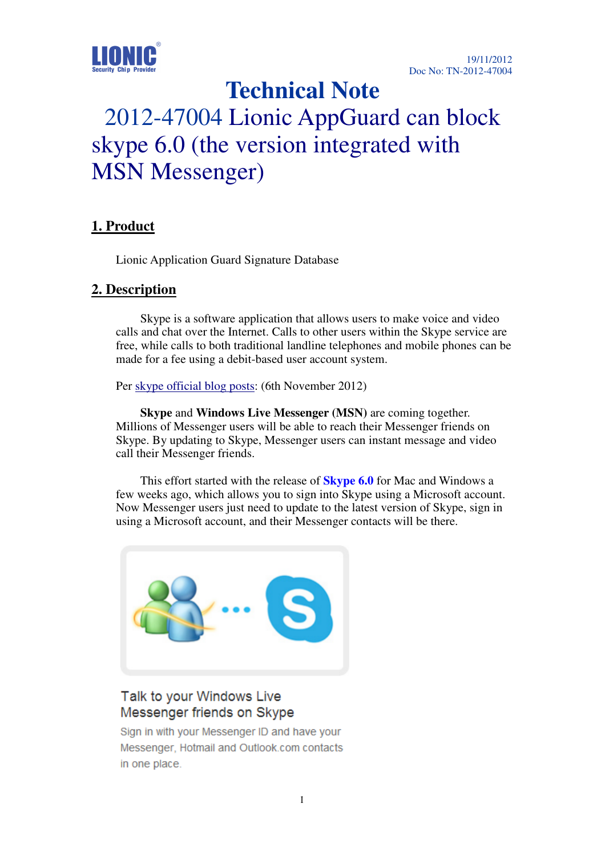

## **Technical Note**

# 2012-47004 Lionic AppGuard can block skype 6.0 (the version integrated with MSN Messenger)

#### **1. Product**

Lionic Application Guard Signature Database

#### **2. Description**

Skype is a software application that allows users to make voice and video calls and chat over the Internet. Calls to other users within the Skype service are free, while calls to both traditional landline telephones and mobile phones can be made for a fee using a debit-based user account system.

Per skype official blog posts: (6th November 2012)

 **Skype** and **Windows Live Messenger (MSN)** are coming together. Millions of Messenger users will be able to reach their Messenger friends on Skype. By updating to Skype, Messenger users can instant message and video call their Messenger friends.

 This effort started with the release of **Skype 6.0** for Mac and Windows a few weeks ago, which allows you to sign into Skype using a Microsoft account. Now Messenger users just need to update to the latest version of Skype, sign in using a Microsoft account, and their Messenger contacts will be there.



### Talk to your Windows Live Messenger friends on Skype

Sign in with your Messenger ID and have your Messenger, Hotmail and Outlook.com contacts in one place.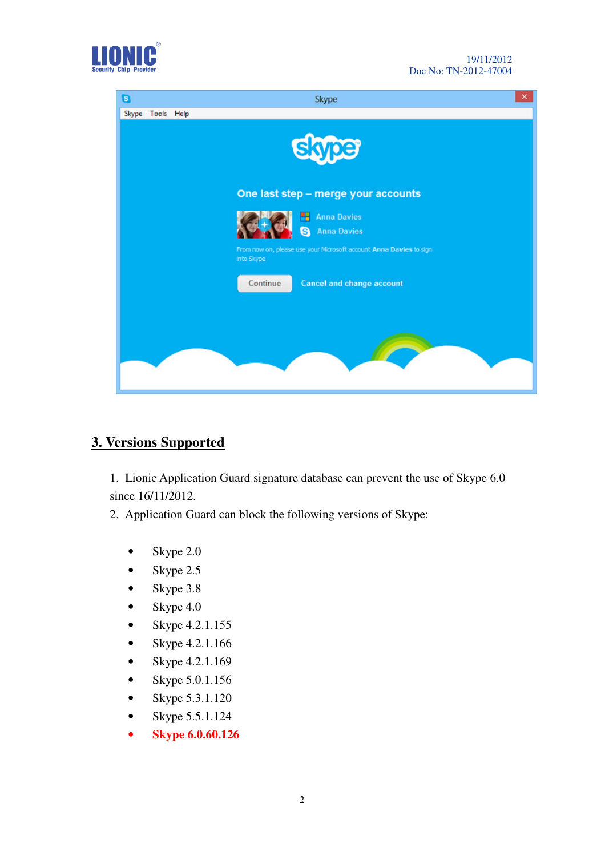



#### **3. Versions Supported**

1. Lionic Application Guard signature database can prevent the use of Skype 6.0 since 16/11/2012.

2. Application Guard can block the following versions of Skype:

- Skype 2.0
- Skype  $2.5$
- Skype 3.8
- Skype  $4.0$
- Skype 4.2.1.155
- Skype 4.2.1.166
- Skype  $4.2.1.169$
- Skype 5.0.1.156
- Skype 5.3.1.120
- Skype 5.5.1.124
- **Skype 6.0.60.126**